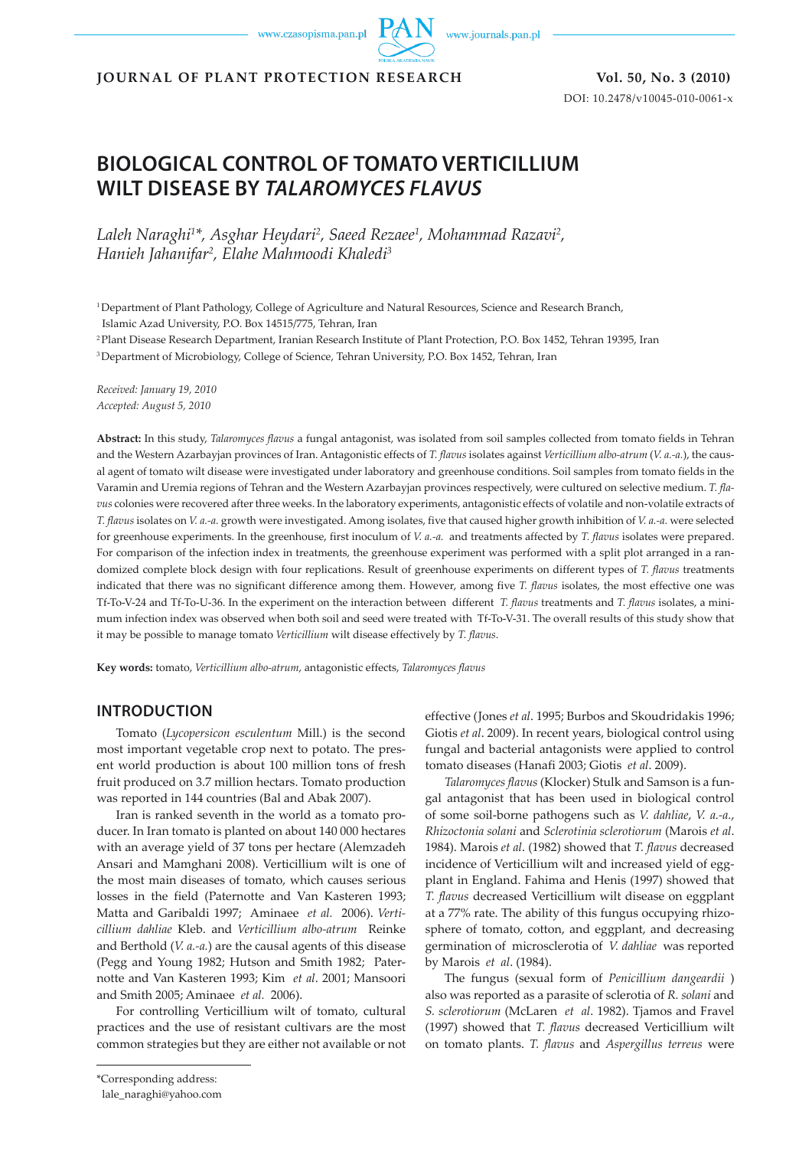www.czasopisma.pan.pl

www.journals.pan.pl

**JOURNAL OF PLANT PROTECTION RESEARCH Vol. 50, No. 3 (2010)**

DOI: 10.2478/v10045-010-0061-x

# **BIOLOGICAL CONTROL OF TOMATO VERTICILLIUM WILT DISEASE BY** *TALAROMYCES FLAVUS*

Laleh Naraghi<sup>1\*</sup>, Asghar Heydari<sup>2</sup>, Saeed Rezaee<sup>1</sup>, Mohammad Razavi<sup>2</sup>, *Hanieh Jahanifar2 , Elahe Mahmoodi Khaledi3* 

1 Department of Plant Pathology, College of Agriculture and Natural Resources, Science and Research Branch, Islamic Azad University, P.O. Box 14515/775, Tehran, Iran

2 Plant Disease Research Department, Iranian Research Institute of Plant Protection, P.O. Box 1452, Tehran 19395, Iran

3 Department of Microbiology, College of Science, Tehran University, P.O. Box 1452, Tehran, Iran

*Received: January 19, 2010 Accepted: August 5, 2010*

**Abstract:** In this study, *Talaromyces flavus* a fungal antagonist, was isolated from soil samples collected from tomato fields in Tehran and the Western Azarbayjan provinces of Iran. Antagonistic effects of *T. flavus* isolates against *Verticillium albo-atrum* (*V. a.-a.*), the causal agent of tomato wilt disease were investigated under laboratory and greenhouse conditions. Soil samples from tomato fields in the Varamin and Uremia regions of Tehran and the Western Azarbayjan provinces respectively, were cultured on selective medium. *T. flavus* colonies were recovered after three weeks. In the laboratory experiments, antagonistic effects of volatile and non-volatile extracts of *T. flavus* isolates on *V. a.-a.* growth were investigated. Among isolates, five that caused higher growth inhibition of *V. a.-a.* were selected for greenhouse experiments. In the greenhouse, first inoculum of *V. a.-a.* and treatments affected by *T. flavus* isolates were prepared. For comparison of the infection index in treatments, the greenhouse experiment was performed with a split plot arranged in a randomized complete block design with four replications. Result of greenhouse experiments on different types of *T. flavus* treatments indicated that there was no significant difference among them. However, among five *T. flavus* isolates, the most effective one was Tf-To-V-24 and Tf-To-U-36. In the experiment on the interaction between different *T. flavus* treatments and *T. flavus* isolates, a minimum infection index was observed when both soil and seed were treated with Tf-To-V-31. The overall results of this study show that it may be possible to manage tomato *Verticillium* wilt disease effectively by *T. flavus*.

**Key words:** tomato, *Verticillium albo-atrum*, antagonistic effects, *Talaromyces flavus*

# **INTRODUCTION**

Tomato (*Lycopersicon esculentum* Mill.) is the second most important vegetable crop next to potato. The present world production is about 100 million tons of fresh fruit produced on 3.7 million hectars. Tomato production was reported in 144 countries (Bal and Abak 2007).

Iran is ranked seventh in the world as a tomato producer. In Iran tomato is planted on about 140 000 hectares with an average yield of 37 tons per hectare (Alemzadeh Ansari and Mamghani 2008). Verticillium wilt is one of the most main diseases of tomato, which causes serious losses in the field (Paternotte and Van Kasteren 1993; Matta and Garibaldi 1997; Aminaee *et al.* 2006). *Verticillium dahliae* Kleb. and *Verticillium albo-atrum* Reinke and Berthold (*V. a.-a.*) are the causal agents of this disease (Pegg and Young 1982; Hutson and Smith 1982; Paternotte and Van Kasteren 1993; Kim *et al*. 2001; Mansoori and Smith 2005; Aminaee *et al.* 2006).

For controlling Verticillium wilt of tomato, cultural practices and the use of resistant cultivars are the most common strategies but they are either not available or not

\*Corresponding address:

effective (Jones *et al*. 1995; Burbos and Skoudridakis 1996; Giotis *et al*. 2009). In recent years, biological control using fungal and bacterial antagonists were applied to control tomato diseases (Hanafi 2003; Giotis *et al*. 2009).

*Talaromyces flavus* (Klocker) Stulk and Samson is a fungal antagonist that has been used in biological control of some soil-borne pathogens such as *V. dahliae*, *V. a.-a.*, *Rhizoctonia solani* and *Sclerotinia sclerotiorum* (Marois *et al*. 1984). Marois *et al*. (1982) showed that *T. flavus* decreased incidence of Verticillium wilt and increased yield of eggplant in England. Fahima and Henis (1997) showed that *T. flavus* decreased Verticillium wilt disease on eggplant at a 77% rate. The ability of this fungus occupying rhizosphere of tomato, cotton, and eggplant, and decreasing germination of microsclerotia of *V. dahliae* was reported by Marois *et al*. (1984).

The fungus (sexual form of *Penicillium dangeardii* ) also was reported as a parasite of sclerotia of *R. solani* and *S. sclerotiorum* (McLaren *et al*. 1982). Tjamos and Fravel (1997) showed that *T. flavus* decreased Verticillium wilt on tomato plants. *T. flavus* and *Aspergillus terreus* were

lale\_naraghi@yahoo.com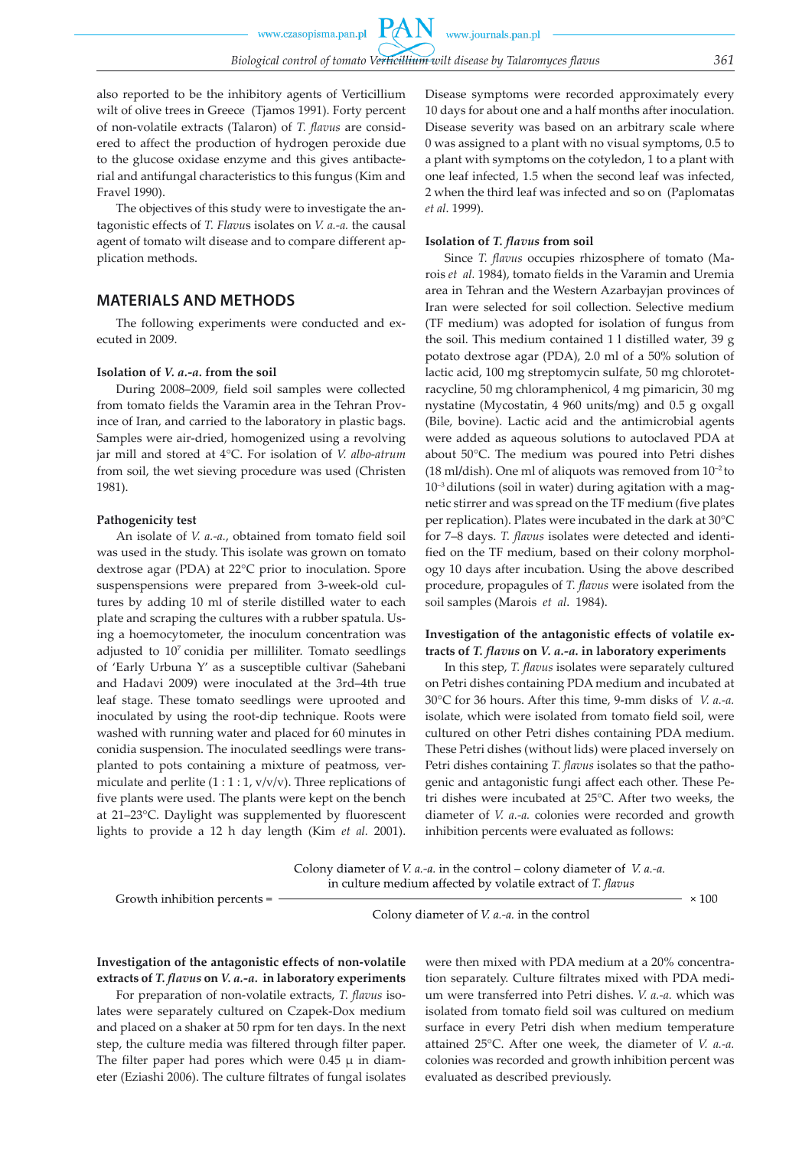also reported to be the inhibitory agents of Verticillium wilt of olive trees in Greece (Tjamos 1991). Forty percent of non-volatile extracts (Talaron) of *T. flavus* are considered to affect the production of hydrogen peroxide due to the glucose oxidase enzyme and this gives antibacterial and antifungal characteristics to this fungus (Kim and Fravel 1990).

The objectives of this study were to investigate the antagonistic effects of *T. Flavu*s isolates on *V. a.-a.* the causal agent of tomato wilt disease and to compare different application methods.

# **MATERIALS AND METHODS**

The following experiments were conducted and executed in 2009.

### **Isolation of** *V. a.-a.* **from the soil**

During 2008–2009, field soil samples were collected from tomato fields the Varamin area in the Tehran Province of Iran, and carried to the laboratory in plastic bags. Samples were air-dried, homogenized using a revolving jar mill and stored at 4°C. For isolation of *V. albo-atrum* from soil, the wet sieving procedure was used (Christen 1981).

### **Pathogenicity test**

An isolate of *V. a.-a.*, obtained from tomato field soil was used in the study. This isolate was grown on tomato dextrose agar (PDA) at 22°C prior to inoculation. Spore suspenspensions were prepared from 3-week-old cultures by adding 10 ml of sterile distilled water to each plate and scraping the cultures with a rubber spatula. Using a hoemocytometer, the inoculum concentration was adjusted to 107 conidia per milliliter. Tomato seedlings of 'Early Urbuna Y' as a susceptible cultivar (Sahebani and Hadavi 2009) were inoculated at the 3rd–4th true leaf stage. These tomato seedlings were uprooted and inoculated by using the root-dip technique. Roots were washed with running water and placed for 60 minutes in conidia suspension. The inoculated seedlings were transplanted to pots containing a mixture of peatmoss, vermiculate and perlite  $(1:1:1, v/v/v)$ . Three replications of five plants were used. The plants were kept on the bench at 21–23°C. Daylight was supplemented by fluorescent lights to provide a 12 h day length (Kim *et al.* 2001). Disease symptoms were recorded approximately every 10 days for about one and a half months after inoculation. Disease severity was based on an arbitrary scale where 0 was assigned to a plant with no visual symptoms, 0.5 to a plant with symptoms on the cotyledon, 1 to a plant with one leaf infected, 1.5 when the second leaf was infected, 2 when the third leaf was infected and so on (Paplomatas *et al*. 1999).

#### **Isolation of** *T. flavus* **from soil**

Since *T. flavus* occupies rhizosphere of tomato (Marois *et al.* 1984), tomato fields in the Varamin and Uremia area in Tehran and the Western Azarbayjan provinces of Iran were selected for soil collection. Selective medium (TF medium) was adopted for isolation of fungus from the soil. This medium contained 1 l distilled water, 39 g potato dextrose agar (PDA), 2.0 ml of a 50% solution of lactic acid, 100 mg streptomycin sulfate, 50 mg chlorotetracycline, 50 mg chloramphenicol, 4 mg pimaricin, 30 mg nystatine (Mycostatin, 4 960 units/mg) and 0.5 g oxgall (Bile, bovine). Lactic acid and the antimicrobial agents were added as aqueous solutions to autoclaved PDA at about 50°C. The medium was poured into Petri dishes (18 ml**/**dish). One ml of aliquots was removed from 10–2 to  $10^{-3}$  dilutions (soil in water) during agitation with a magnetic stirrer and was spread on the TF medium (five plates per replication). Plates were incubated in the dark at 30°C for 7–8 days. *T. flavus* isolates were detected and identified on the TF medium, based on their colony morphology 10 days after incubation. Using the above described procedure, propagules of *T. flavus* were isolated from the soil samples (Marois *et al*. 1984).

## **Investigation of the antagonistic effects of volatile extracts of** *T. flavus* **on** *V. a.-a.* **in laboratory experiments**

In this step, *T. flavus* isolates were separately cultured on Petri dishes containing PDA medium and incubated at 30°C for 36 hours. After this time, 9-mm disks of *V. a.-a.* isolate, which were isolated from tomato field soil, were cultured on other Petri dishes containing PDA medium. These Petri dishes (without lids) were placed inversely on Petri dishes containing *T. flavus* isolates so that the pathogenic and antagonistic fungi affect each other. These Petri dishes were incubated at 25°C. After two weeks, the diameter of *V. a.-a.* colonies were recorded and growth inhibition percents were evaluated as follows:

Colony diameter of *V. a.-a.* in the control - colony diameter of *V. a.-a.* in culture medium affected by volatile extract of T. flavus

Growth inhibition percents =

Colony diameter of *V. a.-a.* in the control

## **Investigation of the antagonistic effects of non-volatile extracts of** *T. flavus* **on** *V. a.-a.* **in laboratory experiments**

For preparation of non-volatile extracts, *T. flavus* isolates were separately cultured on Czapek-Dox medium and placed on a shaker at 50 rpm for ten days. In the next step, the culture media was filtered through filter paper. The filter paper had pores which were  $0.45 \mu$  in diameter (Eziashi 2006). The culture filtrates of fungal isolates were then mixed with PDA medium at a 20% concentration separately. Culture filtrates mixed with PDA medium were transferred into Petri dishes. *V. a.-a.* which was isolated from tomato field soil was cultured on medium surface in every Petri dish when medium temperature attained 25°C. After one week, the diameter of *V. a.-a.* colonies was recorded and growth inhibition percent was evaluated as described previously.

 $- \times 100$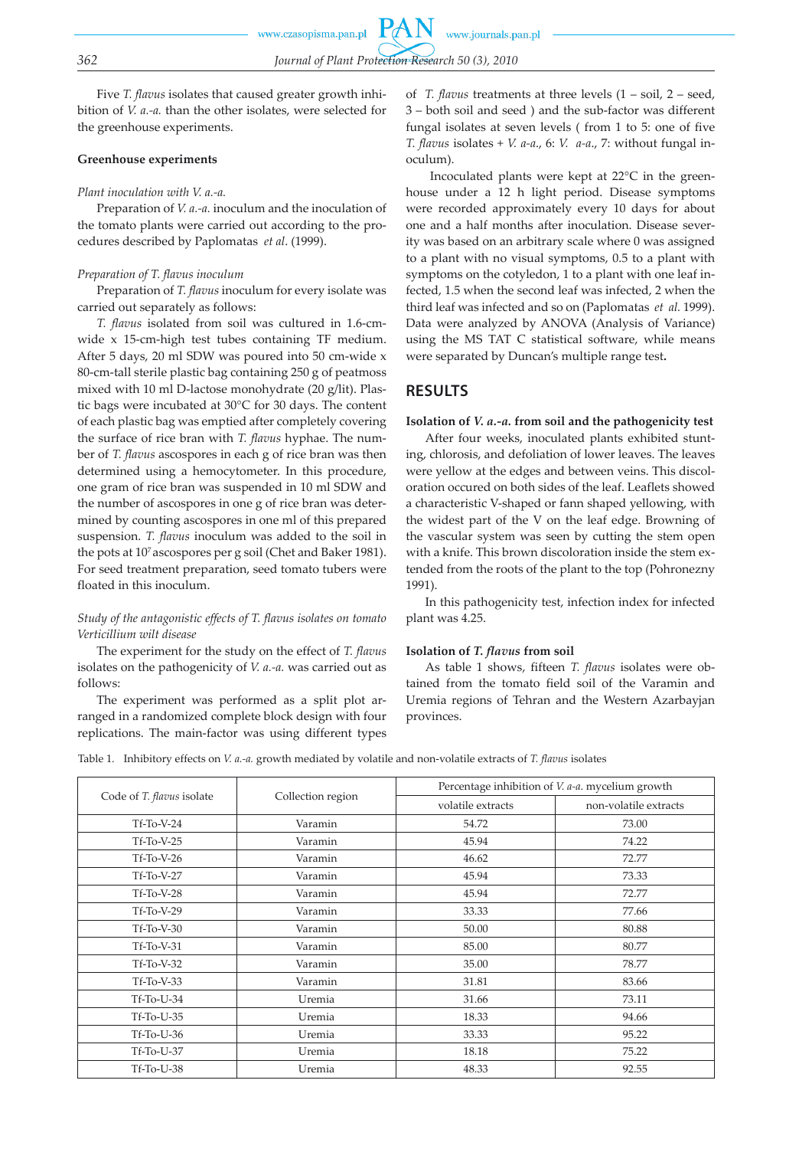Five *T. flavus* isolates that caused greater growth inhibition of *V. a.-a.* than the other isolates, were selected for the greenhouse experiments.

### **Greenhouse experiments**

### *Plant inoculation with V. a.-a.*

Preparation of *V. a.-a.* inoculum and the inoculation of the tomato plants were carried out according to the procedures described by Paplomatas *et al*. (1999).

#### *Preparation of T. flavus inoculum*

Preparation of *T. flavus* inoculum for every isolate was carried out separately as follows:

*T. flavus* isolated from soil was cultured in 1.6-cmwide x 15-cm-high test tubes containing TF medium. After 5 days, 20 ml SDW was poured into 50 cm-wide x 80-cm-tall sterile plastic bag containing 250 g of peatmoss mixed with 10 ml D-lactose monohydrate (20 g/lit). Plastic bags were incubated at 30°C for 30 days. The content of each plastic bag was emptied after completely covering the surface of rice bran with *T. flavus* hyphae. The number of *T. flavus* ascospores in each g of rice bran was then determined using a hemocytometer. In this procedure, one gram of rice bran was suspended in 10 ml SDW and the number of ascospores in one g of rice bran was determined by counting ascospores in one ml of this prepared suspension. *T. flavus* inoculum was added to the soil in the pots at 107 ascospores per g soil (Chet and Baker 1981). For seed treatment preparation, seed tomato tubers were floated in this inoculum.

## *Study of the antagonistic effects of T. flavus isolates on tomato Verticillium wilt disease*

The experiment for the study on the effect of *T. flavus* isolates on the pathogenicity of *V. a.-a.* was carried out as follows:

The experiment was performed as a split plot arranged in a randomized complete block design with four replications. The main-factor was using different types

of *T. flavus* treatments at three levels (1 – soil, 2 – seed, 3 – both soil and seed ) and the sub-factor was different fungal isolates at seven levels ( from 1 to 5: one of five *T. flavus* isolates + *V. a-a*., 6: *V. a-a*., 7: without fungal inoculum).

 Incoculated plants were kept at 22°C in the greenhouse under a 12 h light period. Disease symptoms were recorded approximately every 10 days for about one and a half months after inoculation. Disease severity was based on an arbitrary scale where 0 was assigned to a plant with no visual symptoms, 0.5 to a plant with symptoms on the cotyledon, 1 to a plant with one leaf infected, 1.5 when the second leaf was infected, 2 when the third leaf was infected and so on (Paplomatas *et al.* 1999). Data were analyzed by ANOVA (Analysis of Variance) using the MS TAT C statistical software, while means were separated by Duncan's multiple range test**.**

## **RESULTS**

#### **Isolation of** *V. a.-a.* **from soil and the pathogenicity test**

After four weeks, inoculated plants exhibited stunting, chlorosis, and defoliation of lower leaves. The leaves were yellow at the edges and between veins. This discoloration occured on both sides of the leaf. Leaflets showed a characteristic V-shaped or fann shaped yellowing, with the widest part of the V on the leaf edge. Browning of the vascular system was seen by cutting the stem open with a knife. This brown discoloration inside the stem extended from the roots of the plant to the top (Pohronezny 1991).

In this pathogenicity test, infection index for infected plant was 4.25.

#### **Isolation of** *T. flavus* **from soil**

As table 1 shows, fifteen *T. flavus* isolates were obtained from the tomato field soil of the Varamin and Uremia regions of Tehran and the Western Azarbayjan provinces.

Table 1. Inhibitory effects on *V. a.-a.* growth mediated by volatile and non-volatile extracts of *T. flavus* isolates

|                           | Collection region |                                                          |                       |
|---------------------------|-------------------|----------------------------------------------------------|-----------------------|
| Code of T. flavus isolate |                   | Percentage inhibition of <i>V. a-a</i> . mycelium growth |                       |
|                           |                   | volatile extracts                                        | non-volatile extracts |
| $Tf$ -To-V-24             | Varamin           | 54.72                                                    | 73.00                 |
| $Tf$ -To-V-25             | Varamin           | 45.94                                                    | 74.22                 |
| $Tf$ -To-V-26             | Varamin           | 46.62                                                    | 72.77                 |
| $Tf$ -To-V-27             | Varamin           | 45.94                                                    | 73.33                 |
| $Tf$ -To-V-28             | Varamin           | 45.94                                                    | 72.77                 |
| $Tf$ -To-V-29             | Varamin           | 33.33                                                    | 77.66                 |
| $Tf$ -To-V-30             | Varamin           | 50.00                                                    | 80.88                 |
| $Tf$ -To-V-31             | Varamin           | 85.00                                                    | 80.77                 |
| $Tf$ -To-V-32             | Varamin           | 35.00                                                    | 78.77                 |
| $Tf$ -To-V-33             | Varamin           | 31.81                                                    | 83.66                 |
| $Tf$ -To-U-34             | Uremia            | 31.66                                                    | 73.11                 |
| $Tf$ -To-U-35             | Uremia            | 18.33                                                    | 94.66                 |
| $Tf$ -To-U-36             | Uremia            | 33.33                                                    | 95.22                 |
| $Tf$ -To-U-37             | Uremia            | 18.18                                                    | 75.22                 |
| $Tf$ -To-U-38             | Uremia            | 48.33                                                    | 92.55                 |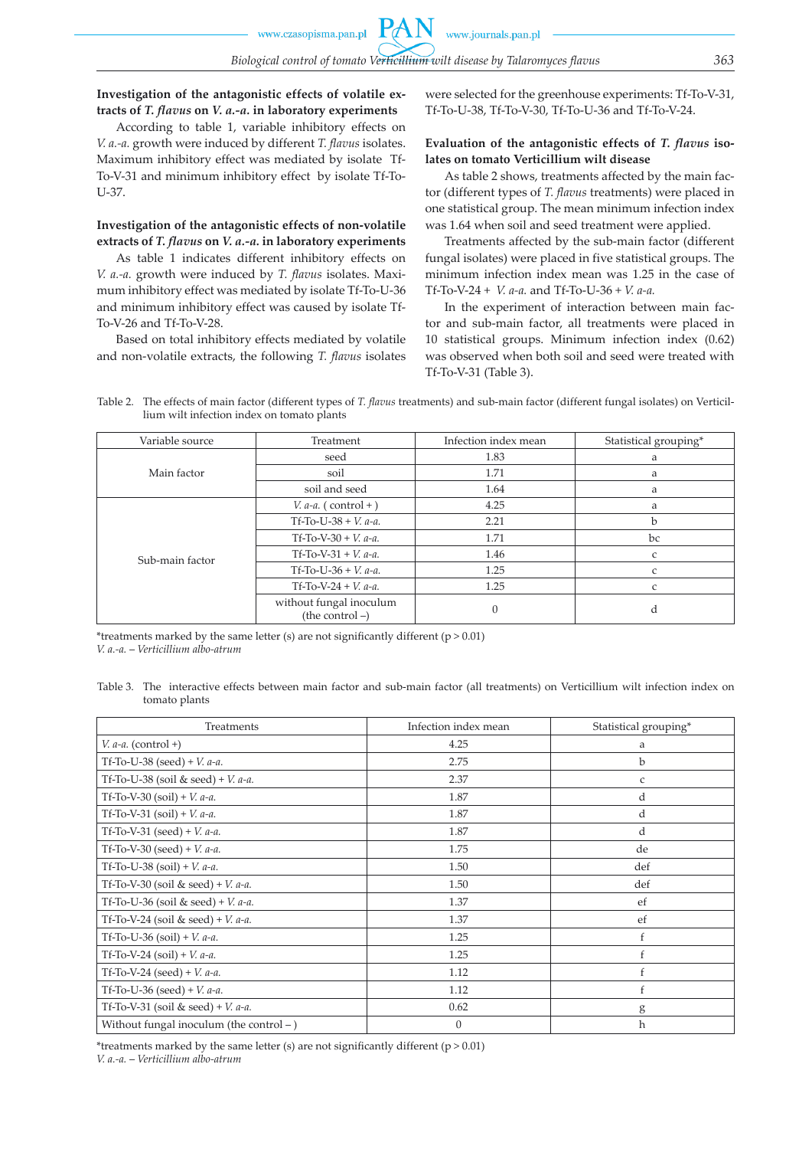**Investigation of the antagonistic effects of volatile extracts of** *T. flavus* **on** *V. a.-a.* **in laboratory experiments**

According to table 1, variable inhibitory effects on *V. a.-a.* growth were induced by different *T. flavus* isolates. Maximum inhibitory effect was mediated by isolate Tf-To-V-31 and minimum inhibitory effect by isolate Tf-To-U-37.

## **Investigation of the antagonistic effects of non-volatile extracts of** *T. flavus* **on** *V. a.-a.* **in laboratory experiments**

As table 1 indicates different inhibitory effects on *V. a.-a.* growth were induced by *T. flavus* isolates. Maximum inhibitory effect was mediated by isolate Tf-To-U-36 and minimum inhibitory effect was caused by isolate Tf-To-V-26 and Tf-To-V-28.

Based on total inhibitory effects mediated by volatile and non-volatile extracts, the following *T. flavus* isolates were selected for the greenhouse experiments: Tf-To-V-31, Tf-To-U-38, Tf-To-V-30, Tf-To-U-36 and Tf-To-V-24.

## **Evaluation of the antagonistic effects of** *T. flavus* **isolates on tomato Verticillium wilt disease**

As table 2 shows, treatments affected by the main factor (different types of *T. flavus* treatments) were placed in one statistical group. The mean minimum infection index was 1.64 when soil and seed treatment were applied.

Treatments affected by the sub-main factor (different fungal isolates) were placed in five statistical groups. The minimum infection index mean was 1.25 in the case of Tf-To-V-24 + *V. a-a.* and Tf-To-U-36 + *V. a-a.*

In the experiment of interaction between main factor and sub-main factor, all treatments were placed in 10 statistical groups. Minimum infection index (0.62) was observed when both soil and seed were treated with Tf-To-V-31 (Table 3).

Table 2. The effects of main factor (different types of *T. flavus* treatments) and sub-main factor (different fungal isolates) on Verticillium wilt infection index on tomato plants

| Variable source | Treatment                                     | Infection index mean | Statistical grouping* |
|-----------------|-----------------------------------------------|----------------------|-----------------------|
| Main factor     | seed                                          | 1.83                 | a                     |
|                 | soil                                          | 1.71                 | a                     |
|                 | soil and seed                                 | 1.64                 | a                     |
| Sub-main factor | $V. a-a.$ (control +)                         | 4.25                 | a                     |
|                 | Tf-To-U-38 + V. a-a.                          | 2.21                 | h                     |
|                 | $Tf$ -To-V-30 + V, a-a.                       | 1.71                 | bc                    |
|                 | $Tf$ -To-V-31 + V, a-a.                       | 1.46                 |                       |
|                 | Tf-To-U-36 + V. a-a.                          | 1.25                 |                       |
|                 | $Tf$ -To-V-24 + V, a-a.                       | 1.25                 | C                     |
|                 | without fungal inoculum<br>(the control $-$ ) |                      | d                     |

\*treatments marked by the same letter (s) are not significantly different ( $p > 0.01$ ) *V. a.-a.* – *Verticillium albo-atrum*

Table 3. The interactive effects between main factor and sub-main factor (all treatments) on Verticillium wilt infection index on tomato plants

| Treatments                                 | Infection index mean | Statistical grouping* |
|--------------------------------------------|----------------------|-----------------------|
| $V. a-a. (control+)$                       | 4.25                 | а                     |
| Tf-To-U-38 (seed) + $V. a-a$ .             | 2.75                 | $\mathbf b$           |
| Tf-To-U-38 (soil & seed) + $V$ . a-a.      | 2.37                 | C                     |
| Tf-To-V-30 (soil) + $V$ . a-a.             | 1.87                 | d                     |
| Tf-To-V-31 (soil) + $V$ . a-a.             | 1.87                 | d                     |
| Tf-To-V-31 (seed) + $V$ . a-a.             | 1.87                 | d                     |
| Tf-To-V-30 (seed) + $V$ . a-a.             | 1.75                 | de                    |
| Tf-To-U-38 (soil) + $V$ . a-a.             | 1.50                 | def                   |
| Tf-To-V-30 (soil & seed) + $V$ . a-a.      | 1.50                 | def                   |
| Tf-To-U-36 (soil & seed) + $V$ . a-a.      | 1.37                 | ef                    |
| Tf-To-V-24 (soil & seed) + V. a-a.         | 1.37                 | ef                    |
| Tf-To-U-36 (soil) + $V$ . a-a.             | 1.25                 | f                     |
| Tf-To-V-24 (soil) + $V$ . a-a.             | 1.25                 | $\mathbf{f}$          |
| Tf-To-V-24 (seed) + $V$ . a-a.             | 1.12                 | $\mathsf{f}$          |
| Tf-To-U-36 (seed) + $V$ . a-a.             | 1.12                 | f                     |
| Tf-To-V-31 (soil & seed) + V. a-a.         | 0.62                 | g                     |
| Without fungal inoculum (the control $-$ ) | $\theta$             | h                     |

\*treatments marked by the same letter (s) are not significantly different ( $p > 0.01$ )

*V. a.-a.* – *Verticillium albo-atrum*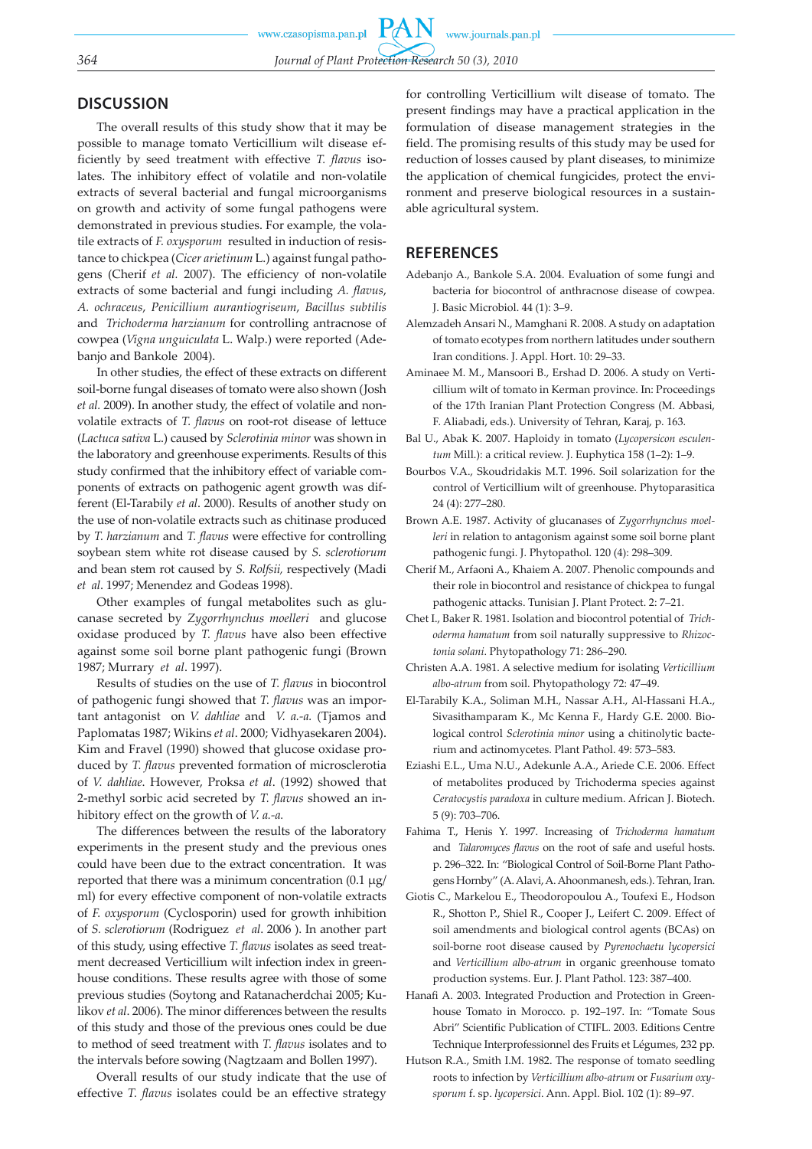# **DISCUSSION**

The overall results of this study show that it may be possible to manage tomato Verticillium wilt disease efficiently by seed treatment with effective *T. flavus* isolates. The inhibitory effect of volatile and non-volatile extracts of several bacterial and fungal microorganisms on growth and activity of some fungal pathogens were demonstrated in previous studies. For example, the volatile extracts of *F. oxysporum* resulted in induction of resistance to chickpea (*Cicer arietinum* L.) against fungal pathogens (Cherif *et al.* 2007). The efficiency of non-volatile extracts of some bacterial and fungi including *A. flavus*, *A. ochraceus*, *Penicillium aurantiogriseum*, *Bacillus subtilis* and *Trichoderma harzianum* for controlling antracnose of cowpea (*Vigna unguiculata* L. Walp.) were reported (Adebanjo and Bankole 2004).

In other studies, the effect of these extracts on different soil-borne fungal diseases of tomato were also shown (Josh *et al.* 2009). In another study, the effect of volatile and nonvolatile extracts of *T. flavus* on root-rot disease of lettuce (*Lactuca sativa* L.) caused by *Sclerotinia minor* was shown in the laboratory and greenhouse experiments. Results of this study confirmed that the inhibitory effect of variable components of extracts on pathogenic agent growth was different (El-Tarabily *et al*. 2000). Results of another study on the use of non-volatile extracts such as chitinase produced by *T. harzianum* and *T. flavus* were effective for controlling soybean stem white rot disease caused by *S. sclerotiorum* and bean stem rot caused by *S. Rolfsii,* respectively (Madi *et al*. 1997; Menendez and Godeas 1998).

Other examples of fungal metabolites such as glucanase secreted by *Zygorrhynchus moelleri* and glucose oxidase produced by *T. flavus* have also been effective against some soil borne plant pathogenic fungi (Brown 1987; Murrary *et al*. 1997).

Results of studies on the use of *T. flavus* in biocontrol of pathogenic fungi showed that *T. flavus* was an important antagonist on *V. dahliae* and *V. a.-a.* (Tjamos and Paplomatas 1987; Wikins *et al*. 2000; Vidhyasekaren 2004). Kim and Fravel (1990) showed that glucose oxidase produced by *T. flavus* prevented formation of microsclerotia of *V. dahliae*. However, Proksa *et al*. (1992) showed that 2-methyl sorbic acid secreted by *T. flavus* showed an inhibitory effect on the growth of *V. a.-a.*

The differences between the results of the laboratory experiments in the present study and the previous ones could have been due to the extract concentration. It was reported that there was a minimum concentration  $(0.1 \mu g)$ ml) for every effective component of non-volatile extracts of *F. oxysporum* (Cyclosporin) used for growth inhibition of *S. sclerotiorum* (Rodriguez *et al*. 2006 ). In another part of this study, using effective *T. flavus* isolates as seed treatment decreased Verticillium wilt infection index in greenhouse conditions. These results agree with those of some previous studies (Soytong and Ratanacherdchai 2005; Kulikov *et al*. 2006). The minor differences between the results of this study and those of the previous ones could be due to method of seed treatment with *T. flavus* isolates and to the intervals before sowing (Nagtzaam and Bollen 1997).

Overall results of our study indicate that the use of effective *T. flavus* isolates could be an effective strategy for controlling Verticillium wilt disease of tomato. The present findings may have a practical application in the formulation of disease management strategies in the field. The promising results of this study may be used for reduction of losses caused by plant diseases, to minimize the application of chemical fungicides, protect the environment and preserve biological resources in a sustainable agricultural system.

## **REFERENCES**

- Adebanjo A., Bankole S.A. 2004. Evaluation of some fungi and bacteria for biocontrol of anthracnose disease of cowpea. J. Basic Microbiol. 44 (1): 3–9.
- Alemzadeh Ansari N., Mamghani R. 2008. A study on adaptation of tomato ecotypes from northern latitudes under southern Iran conditions. J. Appl. Hort. 10: 29–33.
- Aminaee M. M., Mansoori B., Ershad D. 2006. A study on Verticillium wilt of tomato in Kerman province. In: Proceedings of the 17th Iranian Plant Protection Congress (M. Abbasi, F. Aliabadi, eds.). University of Tehran, Karaj, p. 163.
- Bal U., Abak K. 2007. Haploidy in tomato (*Lycopersicon esculentum* Mill.): a critical review. J. Euphytica 158 (1–2): 1–9.
- Bourbos V.A., Skoudridakis M.T. 1996. Soil solarization for the control of Verticillium wilt of greenhouse. Phytoparasitica 24 (4): 277–280.
- Brown A.E. 1987. Activity of glucanases of *Zygorrhynchus moelleri* in relation to antagonism against some soil borne plant pathogenic fungi. J. Phytopathol. 120 (4): 298–309.
- Cherif M., Arfaoni A., Khaiem A. 2007. Phenolic compounds and their role in biocontrol and resistance of chickpea to fungal pathogenic attacks. Tunisian J. Plant Protect. 2: 7–21.
- Chet I., Baker R. 1981. Isolation and biocontrol potential of *Trichoderma hamatum* from soil naturally suppressive to *Rhizoctonia solani*. Phytopathology 71: 286–290.
- Christen A.A. 1981. A selective medium for isolating *Verticillium albo-atrum* from soil. Phytopathology 72: 47–49.
- El-Tarabily K.A., Soliman M.H., Nassar A.H., Al-Hassani H.A., Sivasithamparam K., Mc Kenna F., Hardy G.E. 2000. Biological control *Sclerotinia minor* using a chitinolytic bacterium and actinomycetes. Plant Pathol. 49: 573–583.
- Eziashi E.L., Uma N.U., Adekunle A.A., Ariede C.E. 2006. Effect of metabolites produced by Trichoderma species against *Ceratocystis paradoxa* in culture medium. African J. Biotech. 5 (9): 703–706.
- Fahima T., Henis Y. 1997. Increasing of *Trichoderma hamatum* and *Talaromyces flavus* on the root of safe and useful hosts. p. 296–322. In: "Biological Control of Soil-Borne Plant Pathogens Hornby" (A. Alavi, A. Ahoonmanesh, eds.). Tehran, Iran.
- Giotis C., Markelou E., Theodoropoulou A., Toufexi E., Hodson R., Shotton P., Shiel R., Cooper J., Leifert C. 2009. Effect of soil amendments and biological control agents (BCAs) on soil-borne root disease caused by *Pyrenochaetu lycopersici* and *Verticillium albo-atrum* in organic greenhouse tomato production systems. Eur. J. Plant Pathol. 123: 387–400.
- Hanafi A. 2003. Integrated Production and Protection in Greenhouse Tomato in Morocco. p. 192–197. In: "Tomate Sous Abri" Scientific Publication of CTIFL. 2003. Editions Centre Technique Interprofessionnel des Fruits et Légumes, 232 pp.
- Hutson R.A., Smith I.M. 1982. The response of tomato seedling roots to infection by *Verticillium albo-atrum* or *Fusarium oxysporum* f. sp. *lycopersici*. Ann. Appl. Biol. 102 (1): 89–97.